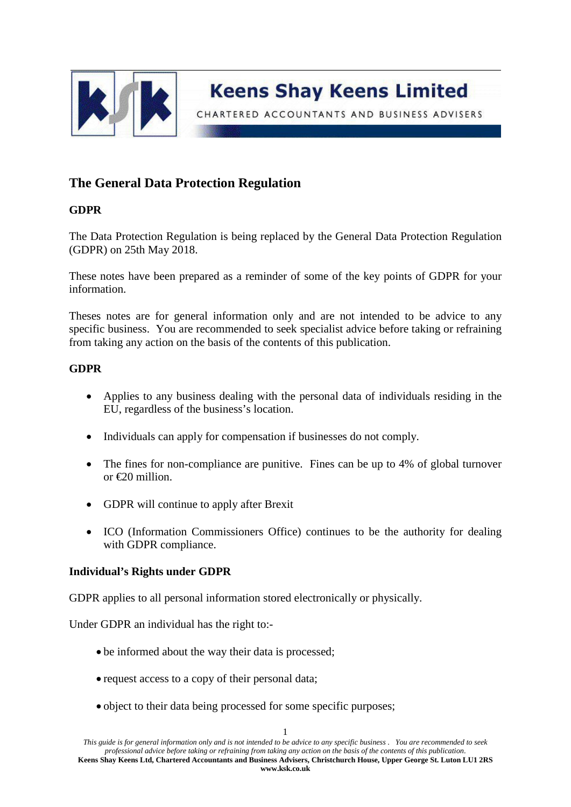

CHARTERED ACCOUNTANTS AND BUSINESS ADVISERS

# **The General Data Protection Regulation**

# **GDPR**

The Data Protection Regulation is being replaced by the General Data Protection Regulation (GDPR) on 25th May 2018.

These notes have been prepared as a reminder of some of the key points of GDPR for your information.

Theses notes are for general information only and are not intended to be advice to any specific business. You are recommended to seek specialist advice before taking or refraining from taking any action on the basis of the contents of this publication.

# **GDPR**

- Applies to any business dealing with the personal data of individuals residing in the EU, regardless of the business's location.
- Individuals can apply for compensation if businesses do not comply.
- The fines for non-compliance are punitive. Fines can be up to 4% of global turnover or  $\epsilon$ 20 million.
- GDPR will continue to apply after Brexit
- ICO (Information Commissioners Office) continues to be the authority for dealing with GDPR compliance.

## **Individual's Rights under GDPR**

GDPR applies to all personal information stored electronically or physically.

Under GDPR an individual has the right to:-

- be informed about the way their data is processed;
- request access to a copy of their personal data;
- object to their data being processed for some specific purposes;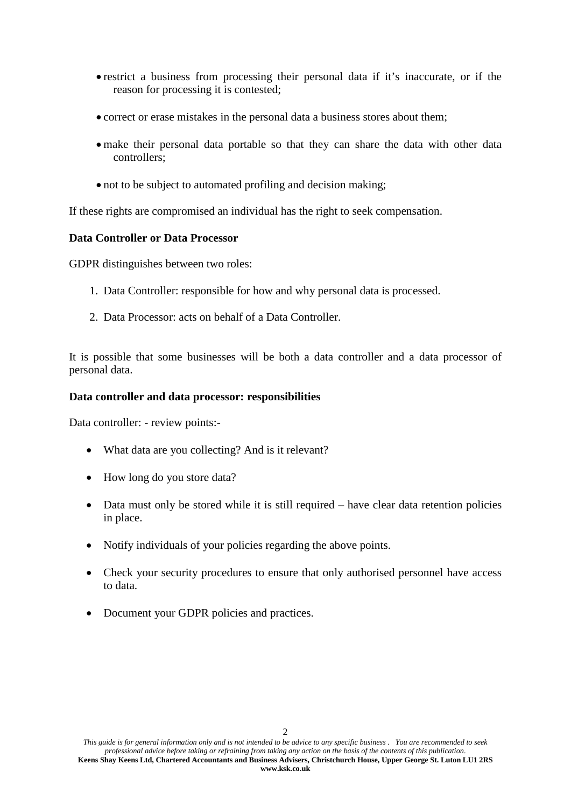- restrict a business from processing their personal data if it's inaccurate, or if the reason for processing it is contested;
- correct or erase mistakes in the personal data a business stores about them;
- make their personal data portable so that they can share the data with other data controllers;
- not to be subject to automated profiling and decision making;

If these rights are compromised an individual has the right to seek compensation.

#### **Data Controller or Data Processor**

GDPR distinguishes between two roles:

- 1. Data Controller: responsible for how and why personal data is processed.
- 2. Data Processor: acts on behalf of a Data Controller.

It is possible that some businesses will be both a data controller and a data processor of personal data.

#### **Data controller and data processor: responsibilities**

Data controller: - review points:-

- What data are you collecting? And is it relevant?
- How long do you store data?
- Data must only be stored while it is still required have clear data retention policies in place.
- Notify individuals of your policies regarding the above points.
- Check your security procedures to ensure that only authorised personnel have access to data.
- Document your GDPR policies and practices.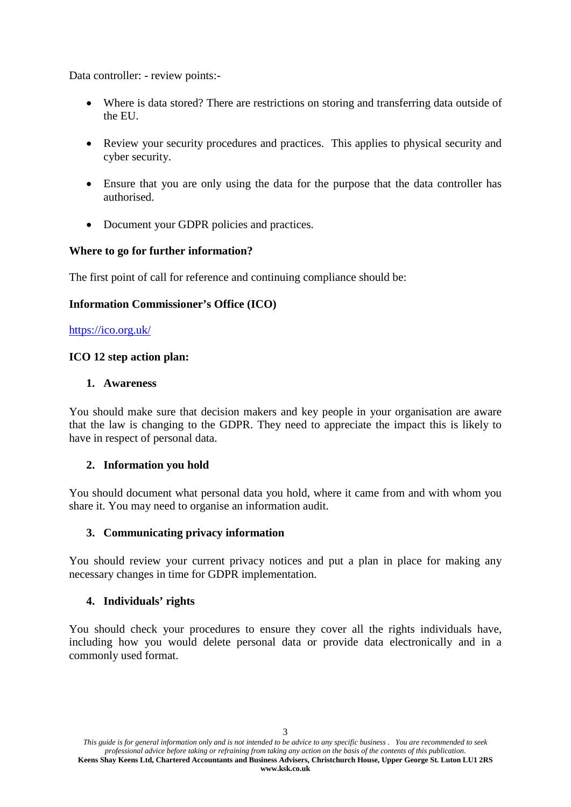Data controller: - review points:-

- Where is data stored? There are restrictions on storing and transferring data outside of the EU.
- Review your security procedures and practices. This applies to physical security and cyber security.
- Ensure that you are only using the data for the purpose that the data controller has authorised.
- Document your GDPR policies and practices.

# **Where to go for further information?**

The first point of call for reference and continuing compliance should be:

## **Information Commissioner's Office (ICO)**

<https://ico.org.uk/>

## **ICO 12 step action plan:**

#### **1. Awareness**

You should make sure that decision makers and key people in your organisation are aware that the law is changing to the GDPR. They need to appreciate the impact this is likely to have in respect of personal data.

## **2. Information you hold**

You should document what personal data you hold, where it came from and with whom you share it. You may need to organise an information audit.

## **3. Communicating privacy information**

You should review your current privacy notices and put a plan in place for making any necessary changes in time for GDPR implementation.

## **4. Individuals' rights**

You should check your procedures to ensure they cover all the rights individuals have, including how you would delete personal data or provide data electronically and in a commonly used format.